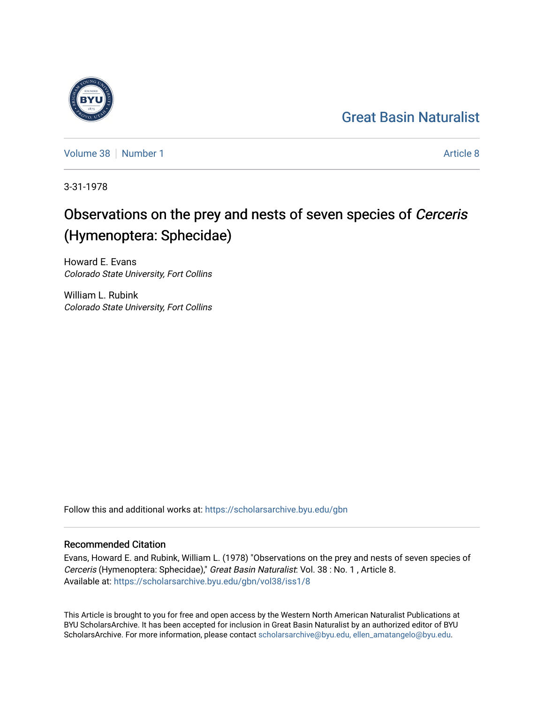## [Great Basin Naturalist](https://scholarsarchive.byu.edu/gbn)

[Volume 38](https://scholarsarchive.byu.edu/gbn/vol38) [Number 1](https://scholarsarchive.byu.edu/gbn/vol38/iss1) [Article 8](https://scholarsarchive.byu.edu/gbn/vol38/iss1/8) Article 8

3-31-1978

# Observations on the prey and nests of seven species of Cerceris (Hymenoptera: Sphecidae)

Howard E. Evans Colorado State University, Fort Collins

William L. Rubink Colorado State University, Fort Collins

Follow this and additional works at: [https://scholarsarchive.byu.edu/gbn](https://scholarsarchive.byu.edu/gbn?utm_source=scholarsarchive.byu.edu%2Fgbn%2Fvol38%2Fiss1%2F8&utm_medium=PDF&utm_campaign=PDFCoverPages) 

### Recommended Citation

Evans, Howard E. and Rubink, William L. (1978) "Observations on the prey and nests of seven species of Cerceris (Hymenoptera: Sphecidae)," Great Basin Naturalist: Vol. 38 : No. 1 , Article 8. Available at: [https://scholarsarchive.byu.edu/gbn/vol38/iss1/8](https://scholarsarchive.byu.edu/gbn/vol38/iss1/8?utm_source=scholarsarchive.byu.edu%2Fgbn%2Fvol38%2Fiss1%2F8&utm_medium=PDF&utm_campaign=PDFCoverPages)

This Article is brought to you for free and open access by the Western North American Naturalist Publications at BYU ScholarsArchive. It has been accepted for inclusion in Great Basin Naturalist by an authorized editor of BYU ScholarsArchive. For more information, please contact [scholarsarchive@byu.edu, ellen\\_amatangelo@byu.edu.](mailto:scholarsarchive@byu.edu,%20ellen_amatangelo@byu.edu)

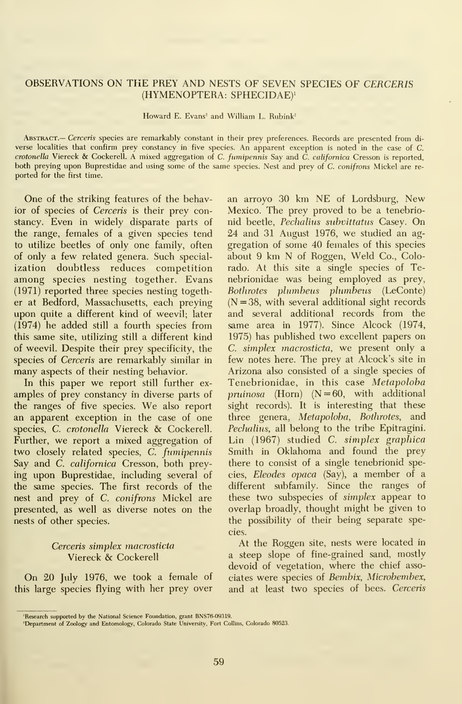#### OBSERVATIONS ON THE PREY AND NESTS OF SEVEN SPECIES OF CERCERIS (HYMENOPTERA: SPHECIDAE)'

Howard E. Evans<sup>2</sup> and William L. Rubink<sup>2</sup>

Abstract.— Cerceris species are remarkably constant in their prey preferences. Records are presented from di verse localities that confirm prey constancy in five species. An apparent exception is noted in the case of C. crotonella Viereck & Cockerell. A mixed aggregation of C. fumipennis Say and  $\tilde{C}$ . californica Cresson is reported, both preying upon Buprestidae and using some of the same species. Nest and prey of C. conifrons Mickel are re ported for the first time.

One of the striking features of the behavior of species of Cerceris is their prey constancy. Even in widely disparate parts of the range, females of a given species tend to utilize beetles of only one family, often of only a few related genera. Such specialization doubtless reduces competition among species nesting together. Evans (1971) reported three species nesting together at Bedford, Massachusetts, each preying upon quite a different kind of weevil; later (1974) he added still a fourth species from this same site, utilizing still a different kind of weevil. Despite their prey specificity, the species of Cerceris are remarkably similar in many aspects of their nesting behavior.

In this paper we report still further ex amples of prey constancy in diverse parts of the ranges of five species. We also report an apparent exception in the case of one species, C. crotonella Viereck & Cockerell. Further, we report <sup>a</sup> mixed aggregation of two closely related species, C. fumipennis Say and C. californica Cresson, both preying upon Buprestidae, including several of the same species. The first records of the nest and prey of C. conifrons Mickel are presented, as well as diverse notes on the nests of other species.

#### Cerceris simplex macrosticta Viereck & Cockerell

On 20 July 1976, we took <sup>a</sup> female of this large species flying with her prey over

an arroyo 30 km NE of Lordsburg, New Mexico. The prey proved to be a tenebrionid beetle, Pechalius subvittatus Casey. On 24 and 31 August 1976, we studied an ag gregation of some 40 females of this species about 9 km N of Roggen, Weld Co., Colorado. At this site a single species of Tenebrionidae was being employed as prey, Bothrotes phimbeus plumbeus (LeConte)  $(N = 38$ , with several additional sight records and several additional records from the same area in 1977). Since Alcock (1974, 1975) has published two excellent papers on C. simplex macrosticta, we present only a few notes here. The prey at Alcock's site in Arizona also consisted of a single species of Tenebrionidae, in this case Metapoloba pruinosa (Horn) ( $N = 60$ , with additional sight records). It is interesting that these three genera, Metapoloba, Bothrotes, and Pechalius, all belong to the tribe Epitragini. Lin (1967) studied C. simplex graphica Smith in Oklahoma and found the prey there to consist of a single tenebrionid species, Eleodes opaca (Say), a member of a different subfamily. Since the ranges of these two subspecies of simplex appear to overlap broadly, thought might be given to the possibility of their being separate species.

At the Roggen site, nests were located in a steep slope of fine-grained sand, mostly devoid of vegetation, where the chief associates were species of Bembix, Microbembex, and at least two species of bees. Cerceris

<sup>&#</sup>x27;Research supported by the National Science Foundation, grant BNS76-09319. 'Department of Zoology and Entomology, Colorado State University, Fort Collins, Colorado 80523.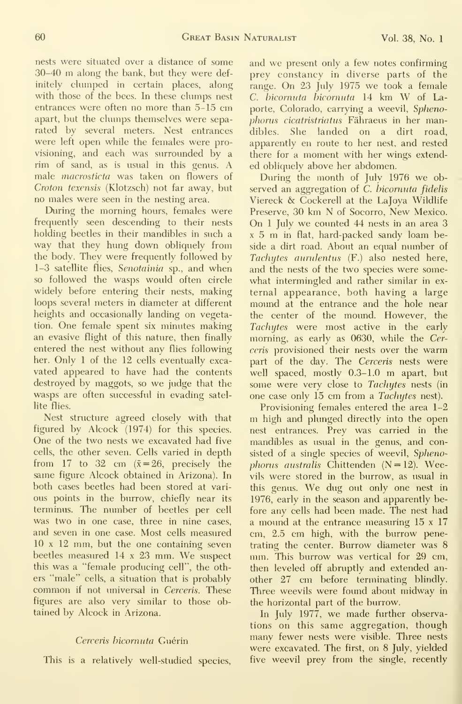nests were situated over a distance of some 30-40 m along the bank, but they were definitely clumped in certain places, along with those of the bees. In these clumps nest entrances were often no more than 5-15 cm apart, but the clumps themselves were sepa rated by several meters. Nest entrances were left open while the females were provisioning, and each was surrounded by a rim of sand, as is usual in this genus. A male macrosticta was taken on flowers of Croton texensis (Klotzsch) not far away, but no males were seen in the nesting area.

During the morning hours, females were frequently seen descending to their nests holding beetles in their mandibles in such a way that they hung down obliquely from the body. They were frequently followed by 1-3 satellite flies, Senotainio sp., and when so followed the wasps would often circle widely before entering their nests, making loops several meters in diameter at different heights and occasionally landing on vegetation. One female spent six minutes making an evasive flight of this nature, then finally entered the nest without any flies following her. Only 1 of the 12 cells eventually excavated appeared to have had the contents destroyed by maggots, so we judge that the wasps are often successful in evading satellite flies.

Nest structure agreed closely with that figured by Alcock (1974) for this species. One of the two nests we excavated had five cells, the other seven. Cells varied in depth from 17 to 32 cm  $(\bar{x} = 26)$ , precisely the same figure Alcock obtained in Arizona). In both cases beetles had been stored at vari ous points in the burrow, chiefly near its terminus. The number of beetles per cell was two in one case, three in nine cases, and seven in one case. Most cells measured 10 <sup>x</sup> 12 mm, but the one containing seven beetles measured <sup>14</sup> <sup>x</sup> <sup>23</sup> mm. We suspect this was a "female producing cell", the others "male" cells, a situation that is probably common if not universal in Cerceris. These figures are also very similar to those obtained by Alcock in Arizona.

#### Cerceris bicornuta Guérin

This is a relatively well-studied species.

and we present only a few notes confirming prey constancy in diverse parts of the range. On 23 July 1975 we took <sup>a</sup> female C. hicornuta hicornuta <sup>14</sup> km W of Laporte, Colorado, carrying a weevil, Sphenophorus cicatristriatus Fähraeus in her mandibles. She landed on a dirt road, apparently en route to her nest, and rested there for a moment with her wings extended obliquely above her abdomen.

During the month of July 1976 we observed an aggregation of C. bicornuta fidelis Viereck & Cockerell at the Lajoya Wildlife Preserve, 30 km N of Socorro, New Mexico. On <sup>1</sup> July we counted 44 nests in an area 3 <sup>X</sup> <sup>5</sup> m in flat, hard-packed sandy loam beside a dirt road. About an equal number of Tachytes aurulentus (F.) also nested here, and the nests of the two species were some what intermingled and rather similar in ex ternal appearance, both having a large mound at the entrance and the hole near the center of the mound. However, the Tachytes were most active in the early morning, as early as 0630, while the Cerceris provisioned their nests over the warm part of the day. The Cerceris nests were well spaced, mostly 0.3-1.0 m apart, but some were very close to Tachytes nests (in one case only 15 cm from a Tachytes nest).

Provisioning females entered the area 1-2 m high and plunged directly into the open nest entrances. Prey was carried in the mandibles as usual in the genus, and consisted of a single species of weevil, Sphenophorus australis Chittenden  $(N = 12)$ . Weevils were stored in the burrow, as usual in this genus. We dug out only one nest in 1976, early in the season and apparently before any cells had been made. The nest had a mound at the entrance measuring 15 <sup>x</sup> 17 cm, 2.5 cm high, with the burrow penetrating the center. Burrow diameter was 8 mm. This burrow was vertical for 29 cm, then leveled off abruptly and extended an other 27 cm before terminating blindly. Three weevils were found about midway in the horizontal part of the burrow.

In July 1977, we made further observations on this same aggregation, though many fewer nests were visible. Three nests were excavated. The first, on 8 July, yielded five weevil prey from the single, recently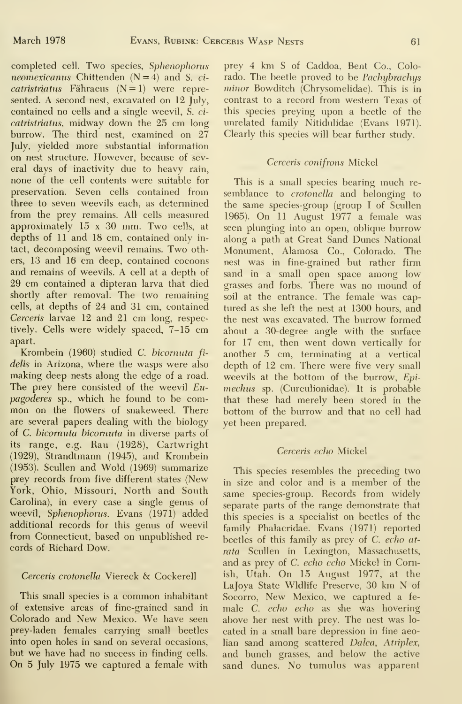completed cell. Two species, Sphenophorus neomexicanus Chittenden  $(N=4)$  and S. ci $catristriatus$  Fähraeus  $(N=1)$  were represented. A second nest, excavated on 12 July, contained no cells and a single weevil, S. ci catristriatus, midway down the 25 cm long burrow. The third nest, examined on 27 July, yielded more substantial information on nest structure. However, because of several days of inactivity due to heavy rain, none of the cell contents were suitable for preservation. Seven cells contained from three to seven weevils each, as determined from the prey remains. All cells measured approximately 15 <sup>x</sup> 30 mm. Two cells, at depths of 11 and 18 cm, contained only in tact, decomposing weevil remains. Two others, 13 and 16 cm deep, contained cocoons and remains of weevils. A cell at <sup>a</sup> depth of 29 cm contained a dipteran larva that died shortly after removal. The two remaining cells, at depths of 24 and 31 cm, contained Cerceris larvae 12 and 21 cm long, respectively. Cells were widely spaced, 7-15 cm apart.

Krombein (1960) studied C. bicornuta fi delis in Arizona, where the wasps were also making deep nests along the edge of a road. The prey here consisted of the weevil  $Eu$ pagoderes sp., which he found to be com mon on the flowers of snakeweed. There are several papers dealing with the biology of C. bicornuta bicornuta in diverse parts of its range, e.g. Rau (1928), Cartwright (1929), Strandtmann (1945), and Krombein (1953). Scullen and Wold (1969) summarize prey records from five different states (New York, Ohio, Missouri, North and South Carolina), in every case a single genus of weevil, Sphenophorus. Evans (1971) added additional records for this genus of weevil from Connecticut, based on unpublished re cords of Richard Dow.

#### Cerceris crotonella Viereck & Cockerell

This small species is <sup>a</sup> common inhabitant of extensive areas of fine-grained sand in Colorado and New Mexico. We have seen prey-laden females carrying small beetles into open holes in sand on several occasions, but we have had no success in finding cells. On 5 July 1975 we captured <sup>a</sup> female with

prey 4 km <sup>S</sup> of Caddoa, Bent Co., Colorado. The beetle proved to be *Pachybrachys* minor Bowditch (Chrysomelidae). This is in contrast to a record from western Texas of this species preying upon a beetle of the imrelated family Nitidulidae (Evans 1971). Clearly this species will bear further study.

#### Cerceris conifrons Mickel

This is a small species bearing much re semblance to *crotonella* and belonging to the same species-group (group <sup>I</sup> of Scullen 1965). On <sup>11</sup> August 1977 <sup>a</sup> female was seen plunging into an open, oblique burrow along a path at Great Sand Dunes National Monument, Alamosa Co., Colorado. The nest was in fine-grained but rather firm sand in a small open space among low grasses and forbs. There was no mound of soil at the entrance. The female was cap tured as she left the nest at 1300 hours, and the nest was excavated. The burrow formed about a 30-degree angle with the surface for 17 cm, then went down vertically for another 5 cm, terminating at a vertical depth of 12 cm. There were five very small weevils at the bottom of the burrow, Epimechus sp. (Curculionidae). It is probable that these had merely been stored in the bottom of the burrow and that no cell had yet been prepared.

#### Cerceris echo Mickel

This species resembles the preceding two in size and color and is a member of the same species-group. Records from widely separate parts of the range demonstrate that this species is a specialist on beetles of the family Phalacridae. Evans (1971) reported beetles of this family as prey of C. echo atrata Scullen in Lexington, Massachusetts, and as prey of C. echo echo Mickel in Cornish, Utah. On 15 August 1977, at the Lajoya State Wldlife Preserve, 30 km N of Socorro, New Mexico, we captured <sup>a</sup> fe male *C. echo echo* as she was hovering above her nest with prey. The nest was lo cated in a small bare depression in fine aeolian sand among scattered Dalea, Atriplex, and bunch grasses, and below the active sand dunes. No tumulus was apparent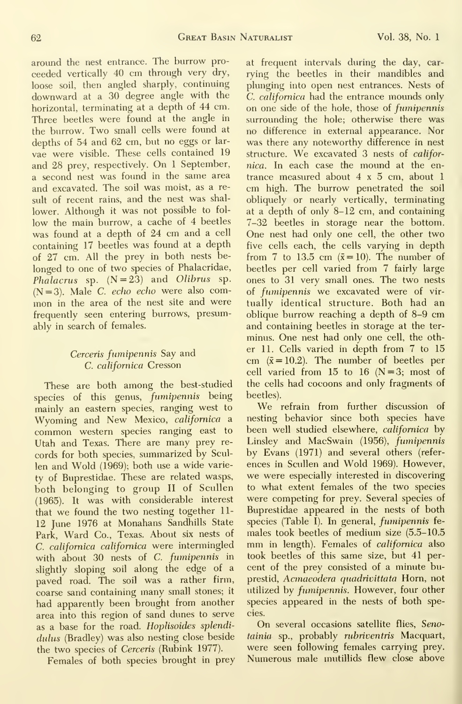around the nest entrance. The burrow proceeded vertically 40 cm through very dry, loose soil, then angled sharply, continuing downward at a 30 degree angle with the horizontal, terminating at a depth of 44 cm. Three beetles were found at the angle in the burrow. Two small cells were found at depths of 54 and 62 cm, but no eggs or lar vae were visible. These cells contained 19 and 28 prey, respectively. On <sup>1</sup> September, <sup>a</sup> second nest was found in the same area and excavated. The soil was moist, as a result of recent rains, and the nest was shal lower. Although it was not possible to fol low the main burrow, a cache of 4 beetles was found at <sup>a</sup> depth of 24 cm and <sup>a</sup> cell containing 17 beetles was found at a depth of 27 cm. All the prey in both nests belonged to one of two species of Phalacridae, Phalacrus sp.  $(N=23)$  and Olibrus sp.  $(N=3)$ . Male C. echo echo were also common in the area of the nest site and were frequently seen entering burrows, presumably in search of females.

#### Cerceris fumipennis Say and C. californica Cresson

These are both among the best-studied species of this genus, fumipennis being mainly an eastern species, ranging west to Wyoming and New Mexico, californica <sup>a</sup> common western species ranging east to Utah and Texas. There are many prey re cords for both species, summarized by Scullen and Wold (1969); both use a wide variety of Buprestidae. These are related wasps, both belonging to group II of Scullen (1965). It was with considerable interest that we found the two nesting together 11- 12 June 1976 at Monahans Sandhills State Park, Ward Co., Texas. About six nests of C. californica californica were intermingled with about 30 nests of C. fumipennis in slightly sloping soil along the edge of a paved road. The soil was a rather firm, coarse sand containing many small stones; it had apparently been brought from another area into this region of sand dunes to serve as a base for the road. Hoplisoides splendidulus (Bradley) was also nesting close beside the two species of Cerceris (Rubink 1977).

Females of both species brought in prey

at frequent intervals during the day, car rying the beetles in their mandibles and plunging into open nest entrances. Nests of C. californica had the entrance mounds only on one side of the hole, those of fumipennis surrounding the hole; otherwise there was no difference in external appearance. Nor was there any noteworthy difference in nest structure. We excavated 3 nests of californica. In each case the mound at the en trance measured about  $4 \times 5$  cm, about 1 cm high. The burrow penetrated the soil obliquely or nearly vertically, terminating at a depth of only 8-12 cm, and containing 7-32 beetles in storage near the bottom. One nest had only one cell, the other two five cells each, the cells varying in depth from 7 to 13.5 cm  $(\bar{x}=10)$ . The number of beetles per cell varied from 7 fairly large ones to 31 very small ones. The two nests of fumipennis we excavated were of vir tually identical structure. Both had an oblique burrow reaching <sup>a</sup> depth of 8-9 cm and containing beetles in storage at the ter minus. One nest had only one cell, the other 11. Cells varied in depth from 7 to 15 cm  $(\bar{x} = 10.2)$ . The number of beetles per cell varied from 15 to 16  $(N=3; \text{ most of})$ the cells had cocoons and only fragments of beetles).

We refrain from further discussion of nesting behavior since both species have been well studied elsewhere, californica by Linsley and MacSwain (1956), fumipennis by Evans (1971) and several others (refer ences in Scullen and Wold 1969). However, we were especially interested in discovering to what extent females of the two species were competing for prey. Several species of Buprestidae appeared in the nests of both species (Table I). In general, fumipennis fe males took beetles of medium size (5.5-10.5 mm in length). Females of californica also took beetles of this same size, but 41 per cent of the prey consisted of a minute buprestid, Acmaeodera quadrivittata Horn, not utilized by fumipennis. However, four other species appeared in the nests of both species.

On several occasions satellite flies, Senotainia sp., probably rubriventris Macquart, were seen following females carrying prey. Numerous male mutillids flew close above